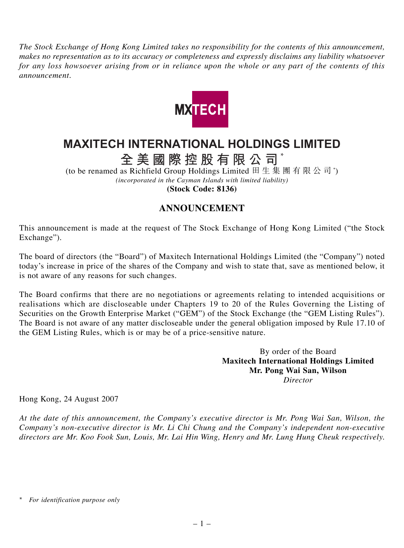*The Stock Exchange of Hong Kong Limited takes no responsibility for the contents of this announcement, makes no representation as to its accuracy or completeness and expressly disclaims any liability whatsoever for any loss howsoever arising from or in reliance upon the whole or any part of the contents of this announcement.*



## **MAXITECH INTERNATIONAL HOLDINGS LIMITED**

**全美國際控股有限公司** \*

(to be renamed as Richfield Group Holdings Limited 田生集團有限公司\*) *(incorporated in the Cayman Islands with limited liability)*

**(Stock Code: 8136)**

## **ANNOUNCEMENT**

This announcement is made at the request of The Stock Exchange of Hong Kong Limited ("the Stock Exchange").

The board of directors (the "Board") of Maxitech International Holdings Limited (the "Company") noted today's increase in price of the shares of the Company and wish to state that, save as mentioned below, it is not aware of any reasons for such changes.

The Board confirms that there are no negotiations or agreements relating to intended acquisitions or realisations which are discloseable under Chapters 19 to 20 of the Rules Governing the Listing of Securities on the Growth Enterprise Market ("GEM") of the Stock Exchange (the "GEM Listing Rules"). The Board is not aware of any matter discloseable under the general obligation imposed by Rule 17.10 of the GEM Listing Rules, which is or may be of a price-sensitive nature.

> By order of the Board **Maxitech International Holdings Limited Mr. Pong Wai San, Wilson** *Director*

Hong Kong, 24 August 2007

*At the date of this announcement, the Company's executive director is Mr. Pong Wai San, Wilson, the Company's non-executive director is Mr. Li Chi Chung and the Company's independent non-executive directors are Mr. Koo Fook Sun, Louis, Mr. Lai Hin Wing, Henry and Mr. Lung Hung Cheuk respectively.*

*<sup>\*</sup> For identification purpose only*